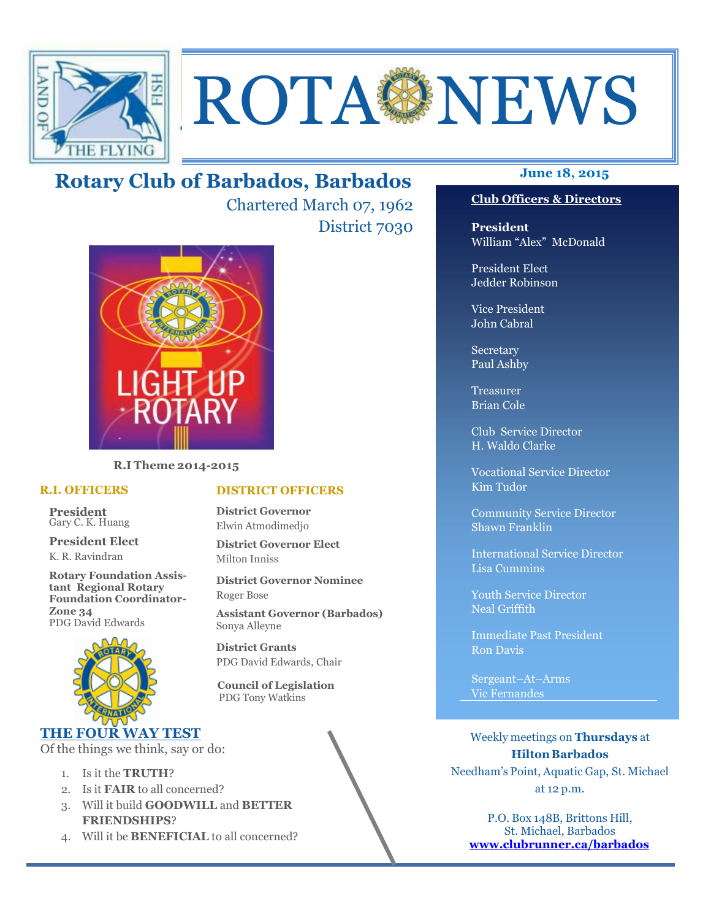

# ROTA NEWS

## **June 18, 2015 Rotary Club of Barbados, Barbados**

Chartered March 07, 1962 District 7030



**R.I Theme 2014-2015** 

#### **R.I. OFFICERS**

**President** Gary C. K. Huang

**President Elect** K. R. Ravindran

**Rotary Foundation Assistant Regional Rotary Foundation Coordinator-Zone 34**  PDG David Edwards



## **THE FOUR WAY TEST**

Of the things we think, say or do:

- 1. Is it the **TRUTH**?
- 2. Is it **FAIR** to all concerned?
- 3. Will it build **GOODWILL** and **BETTER FRIENDSHIPS**?
- 4. Will it be **BENEFICIAL** to all concerned?

**District Governor** Elwin Atmodimedjo

**District Governor Elect** Milton Inniss

**DISTRICT OFFICERS**

**District Governor Nominee**  Roger Bose

**Assistant Governor (Barbados)** Sonya Alleyne

**District Grants**  PDG David Edwards, Chair

 **Council of Legislation**  PDG Tony Watkins

#### **Club Officers & Directors**

**President** William "Alex" McDonald

President Elect Jedder Robinson

Vice President John Cabral

Secretary Paul Ashby

Treasurer Brian Cole

Club Service Director H. Waldo Clarke

Vocational Service Director Kim Tudor

Community Service Director Shawn Franklin

International Service Director Lisa Cummins

Youth Service Director Neal Griffith

Immediate Past President Ron Davis

Sergeant–At–Arms Vic Fernandes

Weekly meetings on **Thursdays** at **Hilton Barbados** Needham's Point, Aquatic Gap, St. Michael at 12 p.m.

P.O. Box 148B, Brittons Hill, St. Michael, Barbados **www.clubrunner.ca/barbados**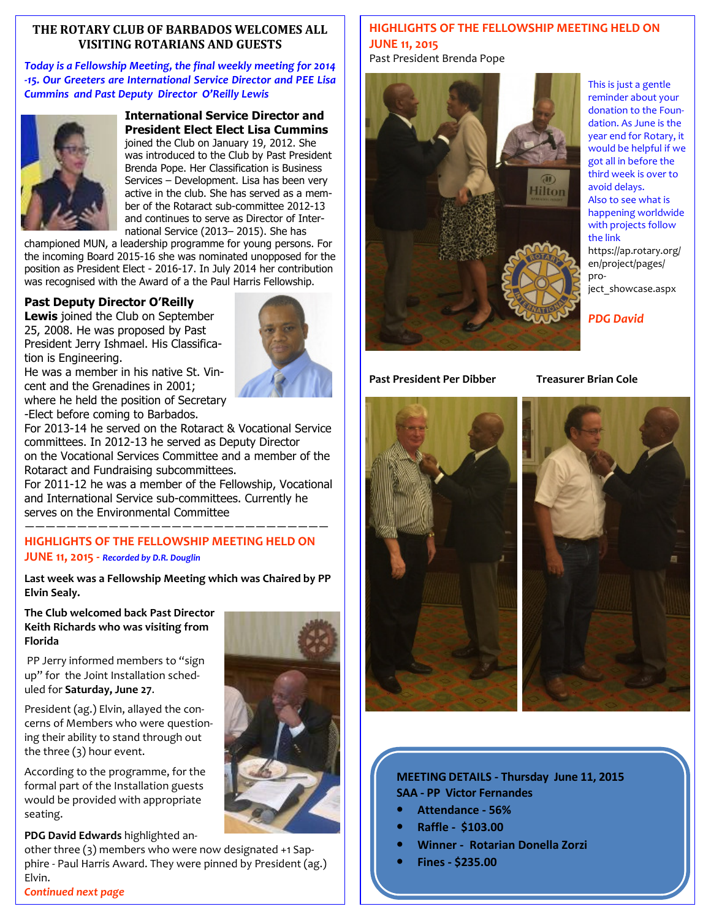#### **THE ROTARY CLUB OF BARBADOS WELCOMES ALL VISITING ROTARIANS AND GUESTS**

*Today is a Fellowship Meeting, the final weekly meeting for 2014 -15. Our Greeters are International Service Director and PEE Lisa Cummins and Past Deputy Director O'Reilly Lewis* 



**International Service Director and President Elect Elect Lisa Cummins**  joined the Club on January 19, 2012. She was introduced to the Club by Past President Brenda Pope. Her Classification is Business Services – Development. Lisa has been very active in the club. She has served as a member of the Rotaract sub-committee 2012-13 and continues to serve as Director of International Service (2013– 2015). She has

championed MUN, a leadership programme for young persons. For the incoming Board 2015-16 she was nominated unopposed for the position as President Elect - 2016-17. In July 2014 her contribution was recognised with the Award of a the Paul Harris Fellowship.

### **Past Deputy Director O'Reilly**

**Lewis** joined the Club on September 25, 2008. He was proposed by Past President Jerry Ishmael. His Classification is Engineering.



He was a member in his native St. Vincent and the Grenadines in 2001; where he held the position of Secretary -Elect before coming to Barbados.

For 2013-14 he served on the Rotaract & Vocational Service committees. In 2012-13 he served as Deputy Director on the Vocational Services Committee and a member of the Rotaract and Fundraising subcommittees.

For 2011-12 he was a member of the Fellowship, Vocational and International Service sub-committees. Currently he serves on the Environmental Committee —————————————————————————————

## **HIGHLIGHTS OF THE FELLOWSHIP MEETING HELD ON JUNE 11, 2015 -** *Recorded by D.R. Douglin*

**Last week was a Fellowship Meeting which was Chaired by PP Elvin Sealy.** 

**The Club welcomed back Past Director Keith Richards who was visiting from Florida** 

PP Jerry informed members to "sign up" for the Joint Installation scheduled for **Saturday, June 27**.

President (ag.) Elvin, allayed the concerns of Members who were questioning their ability to stand through out the three (3) hour event.

According to the programme, for the formal part of the Installation guests would be provided with appropriate seating.

**PDG David Edwards** highlighted an-

 Elvin. other three (3) members who were now designated +1 Sapphire - Paul Harris Award. They were pinned by President (ag.)



### **HIGHLIGHTS OF THE FELLOWSHIP MEETING HELD ON JUNE 11, 2015**

Past President Brenda Pope



This is just a gentle reminder about your donation to the Foundation. As June is the year end for Rotary, it would be helpful if we got all in before the third week is over to avoid delays. Also to see what is happening worldwide with projects follow the link https://ap.rotary.org/ en/project/pages/ pro-

ject\_showcase.aspx

*PDG David* 

**Past President Per Dibber Treasurer Brian Cole** 



### **MEETING DETAILS - Thursday June 11, 2015 SAA - PP Victor Fernandes**

- **Attendance 56%**
- **Raffle \$103.00**
- **Winner Rotarian Donella Zorzi**
- **Fines \$235.00**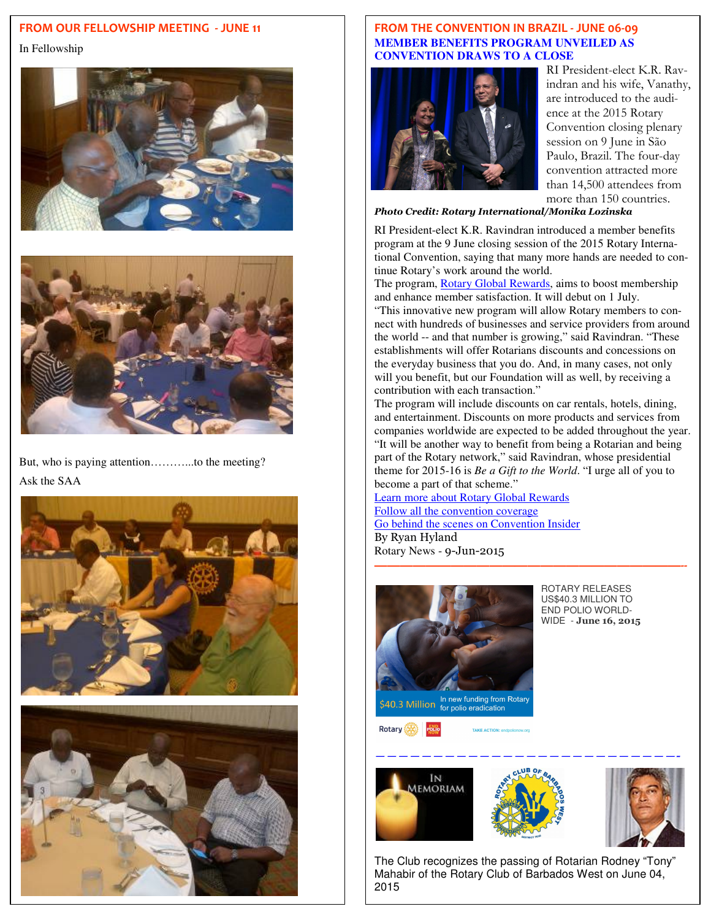## **FROM OUR FELLOWSHIP MEETING - JUNE 11**

In Fellowship





But, who is paying attention………...to the meeting? Ask the SAA





#### **FROM THE CONVENTION IN BRAZIL - JUNE 06-09 MEMBER BENEFITS PROGRAM UNVEILED AS CONVENTION DRAWS TO A CLOSE**



RI President-elect K.R. Ravindran and his wife, Vanathy, are introduced to the audience at the 2015 Rotary Convention closing plenary session on 9 June in São Paulo, Brazil. The four-day convention attracted more than 14,500 attendees from more than 150 countries.

*Photo Credit: Rotary International/Monika Lozinska* 

RI President-elect K.R. Ravindran introduced a member benefits program at the 9 June closing session of the 2015 Rotary International Convention, saying that many more hands are needed to continue Rotary's work around the world.

The program, Rotary Global Rewards, aims to boost membership and enhance member satisfaction. It will debut on 1 July.

"This innovative new program will allow Rotary members to connect with hundreds of businesses and service providers from around the world -- and that number is growing," said Ravindran. "These establishments will offer Rotarians discounts and concessions on the everyday business that you do. And, in many cases, not only will you benefit, but our Foundation will as well, by receiving a contribution with each transaction."

The program will include discounts on car rentals, hotels, dining, and entertainment. Discounts on more products and services from companies worldwide are expected to be added throughout the year. "It will be another way to benefit from being a Rotarian and being part of the Rotary network," said Ravindran, whose presidential theme for 2015-16 is *Be a Gift to the World*. "I urge all of you to become a part of that scheme."

**————————————————————————--** 

Learn more about Rotary Global Rewards Follow all the convention coverage Go behind the scenes on Convention Insider By Ryan Hyland Rotary News - 9-Jun-2015



ROTARY RELEASES US\$40.3 MILLION TO END POLIO WORLD-WIDE - **June 16, 2015** 

∫<br>S40.3 Million for polio eradication

Rotary (540)





The Club recognizes the passing of Rotarian Rodney "Tony" Mahabir of the Rotary Club of Barbados West on June 04, 2015